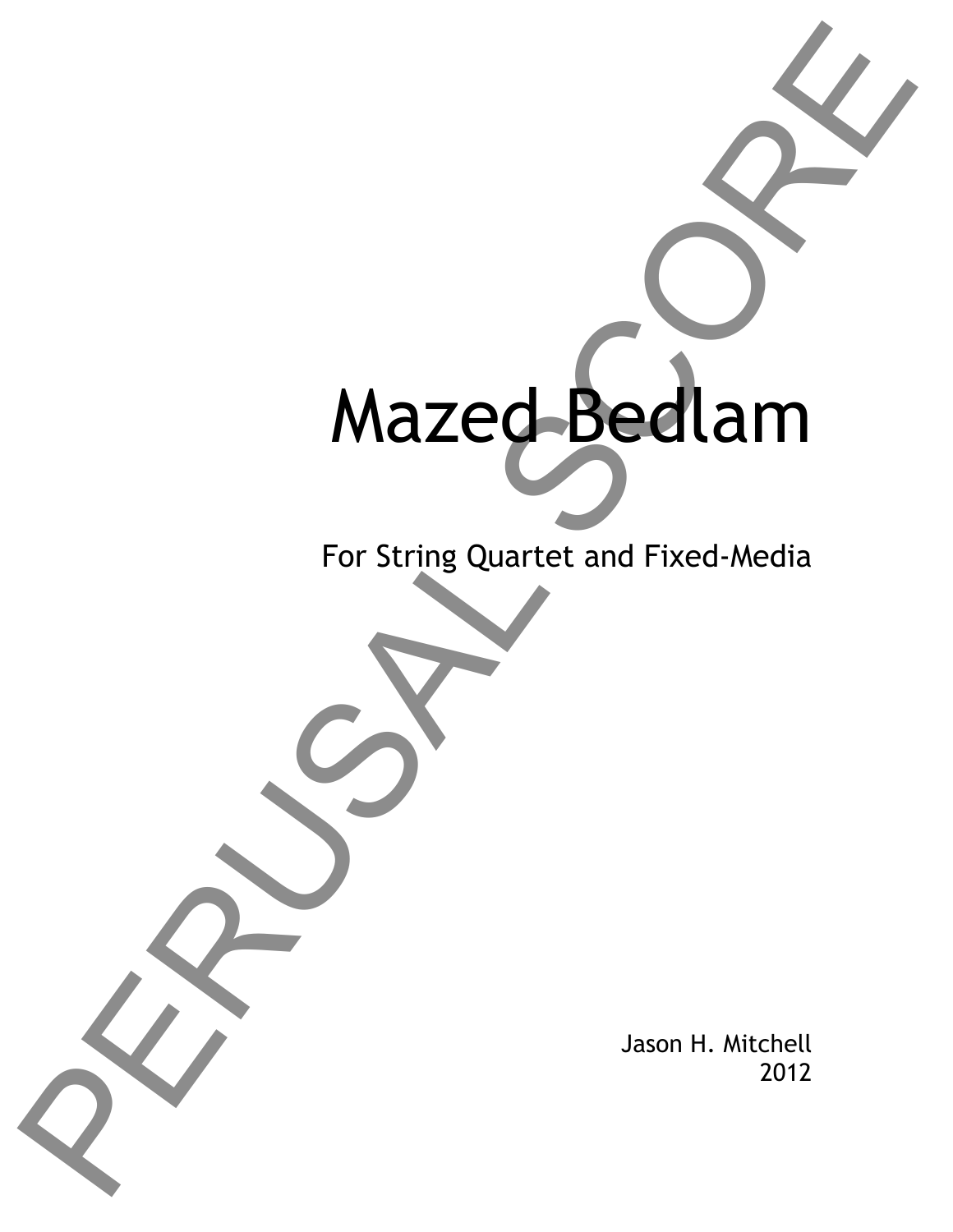## Mazed Bedlam Mazed Bedlam

## For String Quartet and Fixed-Media

Jason H. Mitchell 2012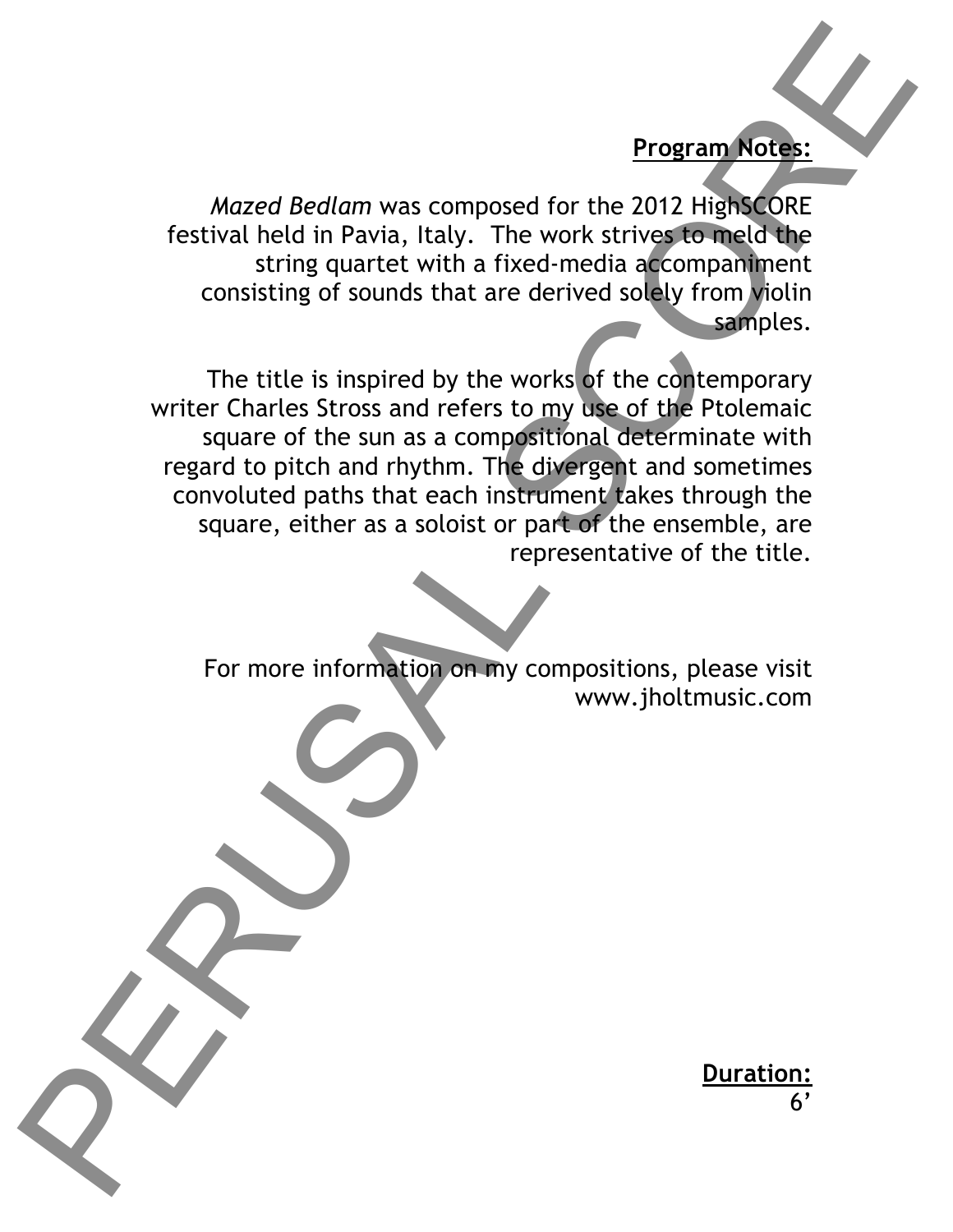## **Program Notes:**

*Mazed Bedlam* was composed for the 2012 HighSCORE festival held in Pavia, Italy. The work strives to meld the string quartet with a fixed-media accompaniment consisting of sounds that are derived solely from violin samples.

Program Notes:<br>
Mazed Beddam was composed for the 2012 High Notes:<br>
festival held in Pavia, Italy. The work strives formal diverses<br>
consisting of sounds that are derived solely from woltin<br>
consisting of sounds that are d The title is inspired by the works of the contemporary writer Charles Stross and refers to my use of the Ptolemaic square of the sun as a compositional determinate with regard to pitch and rhythm. The divergent and sometimes convoluted paths that each instrument takes through the square, either as a soloist or part of the ensemble, are representative of the title.

For more information on my compositions, please visit www.jholtmusic.com

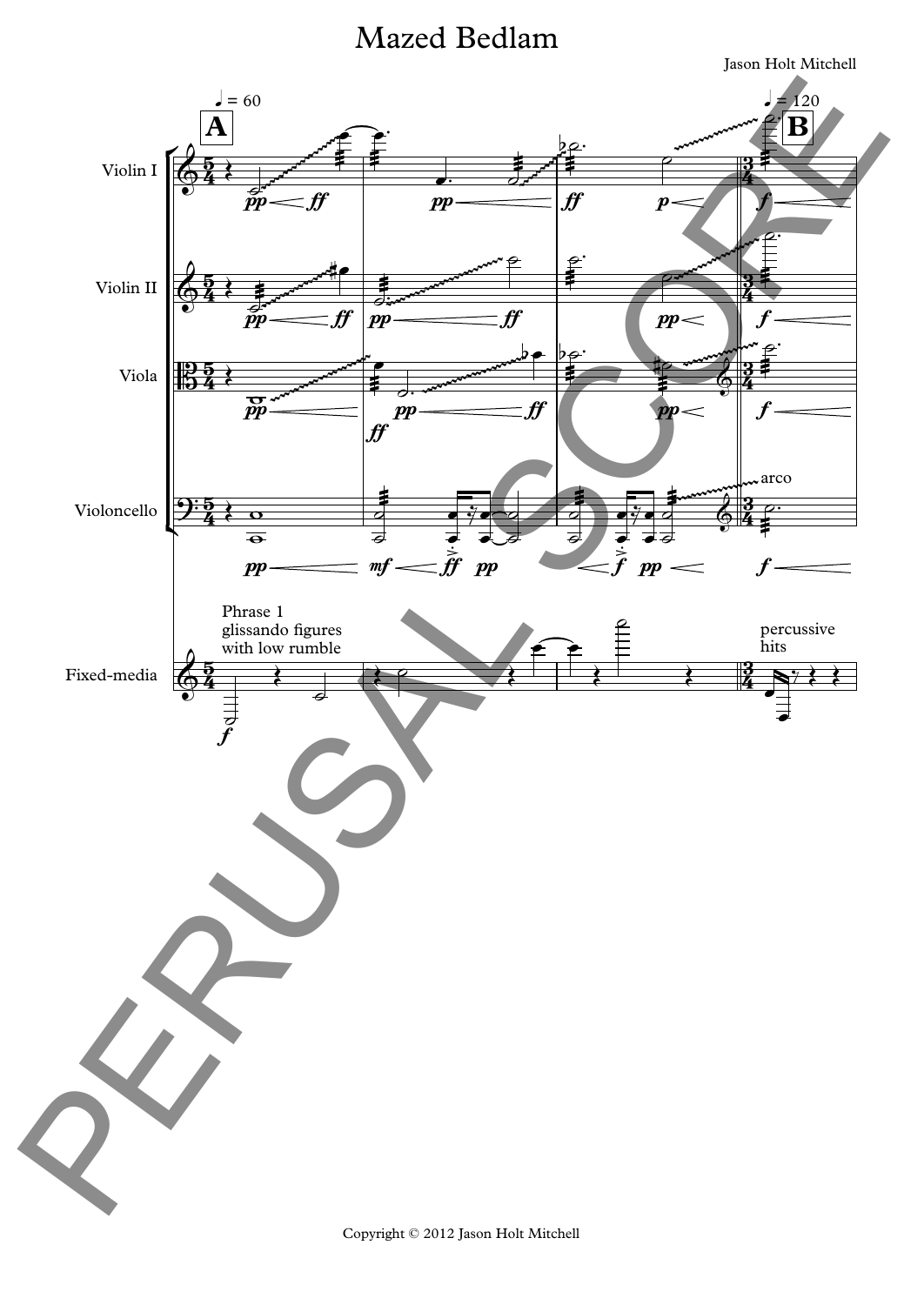## Mazed Bedlam

Jason Holt Mitchell

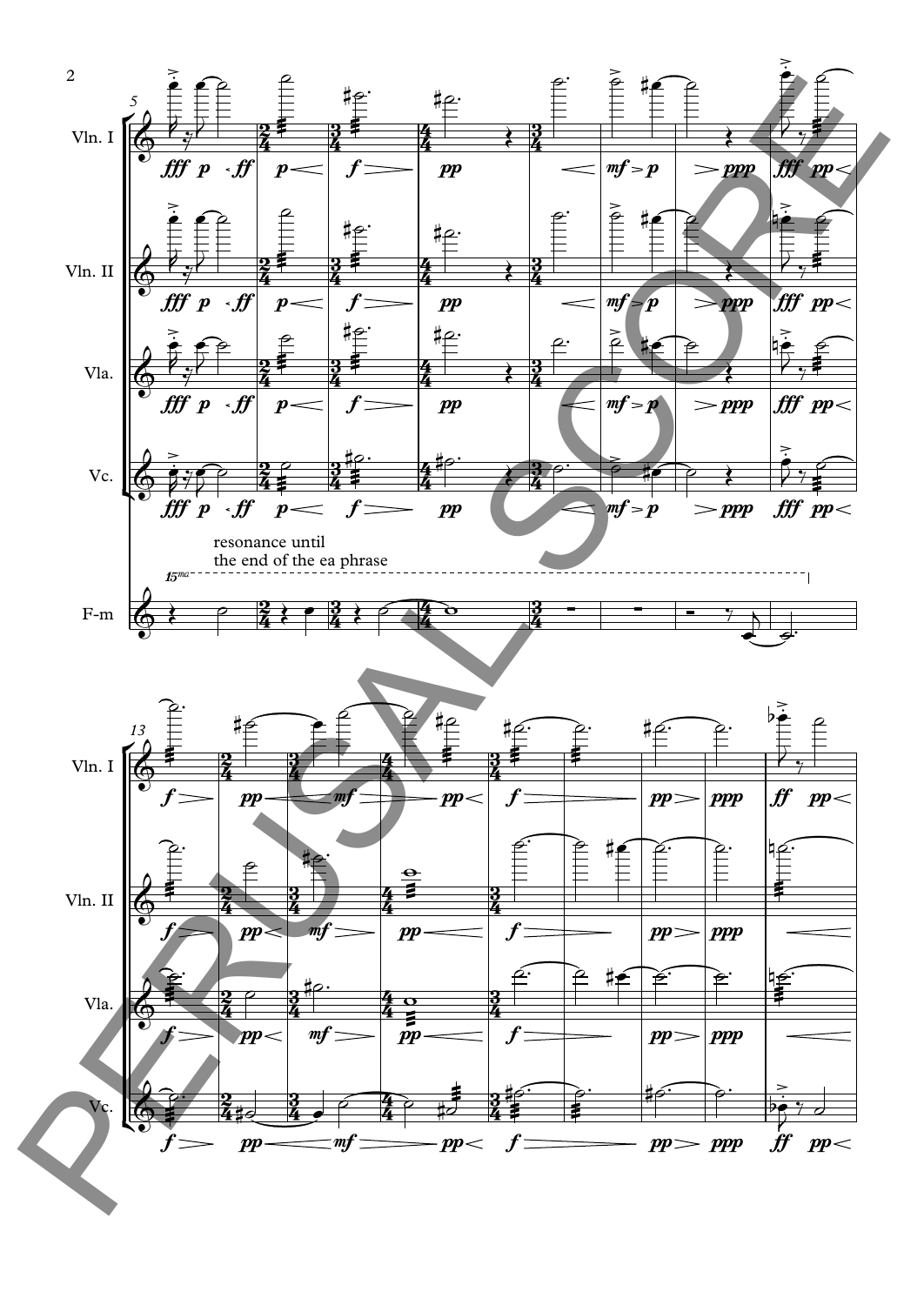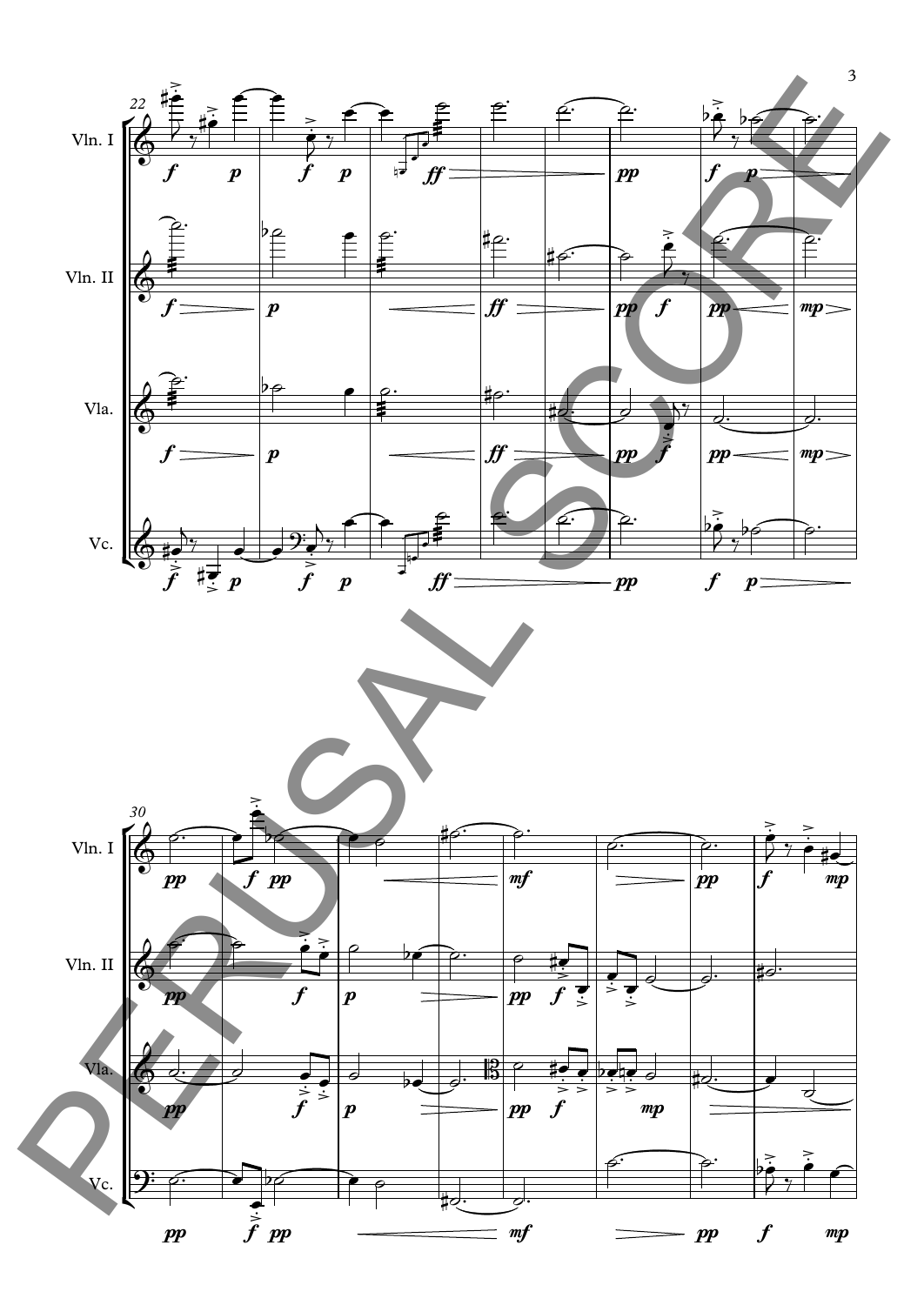

3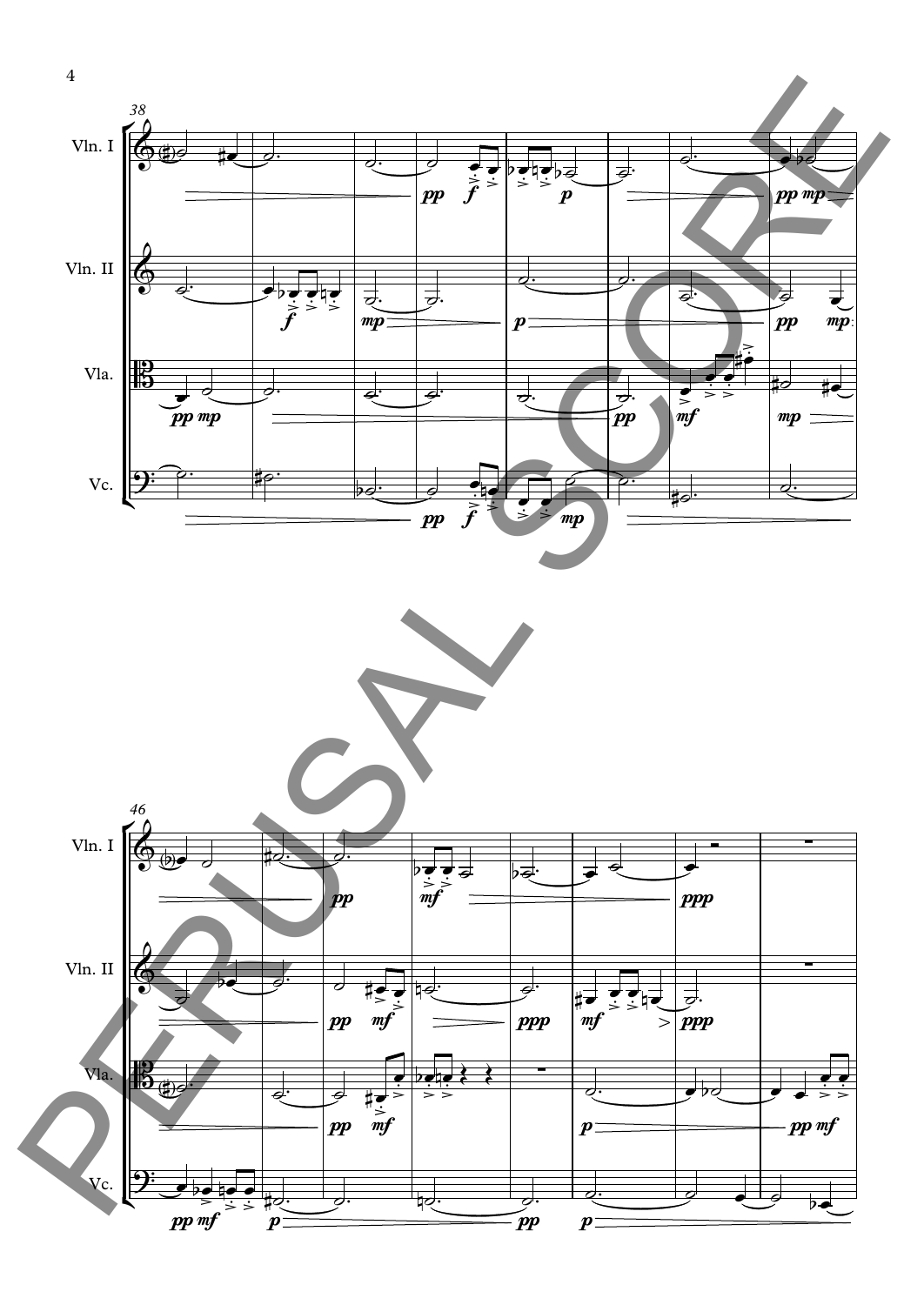